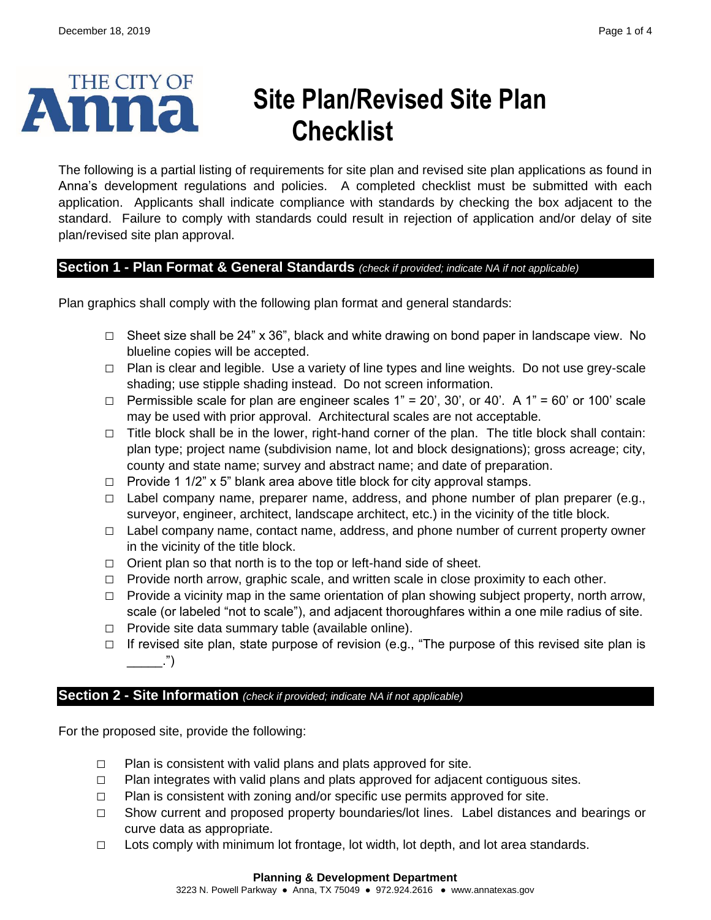

# **Site Plan/Revised Site Plan Checklist**

The following is a partial listing of requirements for site plan and revised site plan applications as found in Anna's development regulations and policies. A completed checklist must be submitted with each application. Applicants shall indicate compliance with standards by checking the box adjacent to the standard. Failure to comply with standards could result in rejection of application and/or delay of site plan/revised site plan approval.

## **Section 1 - Plan Format & General Standards** *(check if provided; indicate NA if not applicable)*

Plan graphics shall comply with the following plan format and general standards:

- **□** Sheet size shall be 24" x 36", black and white drawing on bond paper in landscape view. No blueline copies will be accepted.
- **□** Plan is clear and legible. Use a variety of line types and line weights. Do not use grey-scale shading; use stipple shading instead. Do not screen information.
- $\Box$  Permissible scale for plan are engineer scales  $1" = 20'$ ,  $30'$ , or  $40'$ . A  $1" = 60'$  or  $100'$  scale may be used with prior approval. Architectural scales are not acceptable.
- **□** Title block shall be in the lower, right-hand corner of the plan. The title block shall contain: plan type; project name (subdivision name, lot and block designations); gross acreage; city, county and state name; survey and abstract name; and date of preparation.
- **□** Provide 1 1/2" x 5" blank area above title block for city approval stamps.
- **□** Label company name, preparer name, address, and phone number of plan preparer (e.g., surveyor, engineer, architect, landscape architect, etc.) in the vicinity of the title block.
- **□** Label company name, contact name, address, and phone number of current property owner in the vicinity of the title block.
- **□** Orient plan so that north is to the top or left-hand side of sheet.
- **□** Provide north arrow, graphic scale, and written scale in close proximity to each other.
- □ Provide a vicinity map in the same orientation of plan showing subject property, north arrow, scale (or labeled "not to scale"), and adjacent thoroughfares within a one mile radius of site.
- **□** Provide site data summary table (available online).
- **□** If revised site plan, state purpose of revision (e.g., "The purpose of this revised site plan is  $\ldots$ ")

## **Section 2 - Site Information** *(check if provided; indicate NA if not applicable)*

For the proposed site, provide the following:

- **□** Plan is consistent with valid plans and plats approved for site.
- **□** Plan integrates with valid plans and plats approved for adjacent contiguous sites.
- **□** Plan is consistent with zoning and/or specific use permits approved for site.
- **□** Show current and proposed property boundaries/lot lines. Label distances and bearings or curve data as appropriate.
- **□** Lots comply with minimum lot frontage, lot width, lot depth, and lot area standards.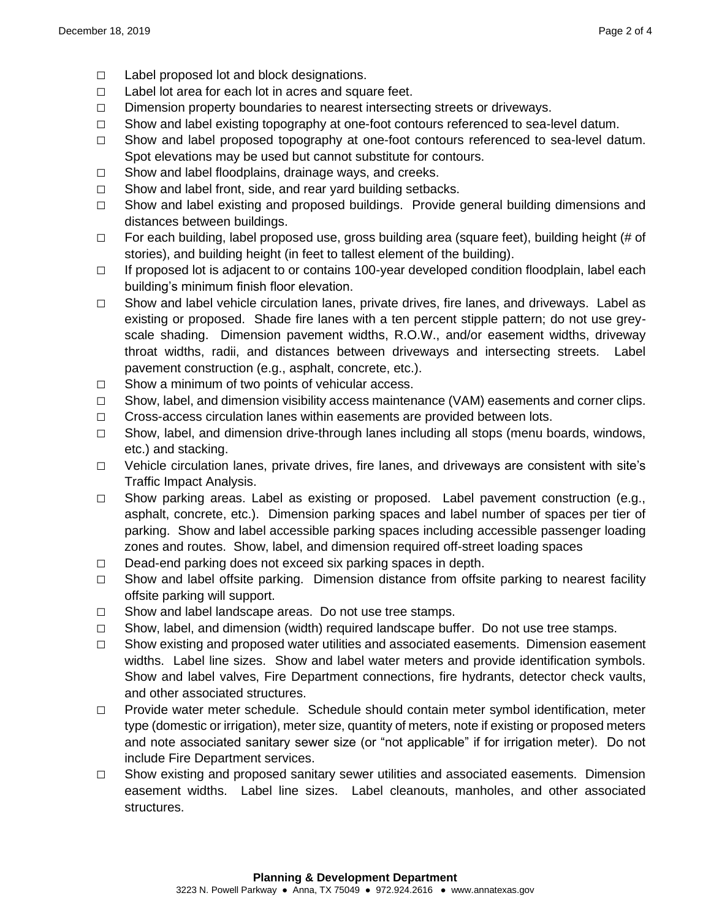- **□** Label proposed lot and block designations.
- **□** Label lot area for each lot in acres and square feet.
- **□** Dimension property boundaries to nearest intersecting streets or driveways.
- **□** Show and label existing topography at one-foot contours referenced to sea-level datum.
- **□** Show and label proposed topography at one-foot contours referenced to sea-level datum. Spot elevations may be used but cannot substitute for contours.
- **□** Show and label floodplains, drainage ways, and creeks.
- **□** Show and label front, side, and rear yard building setbacks.
- **□** Show and label existing and proposed buildings. Provide general building dimensions and distances between buildings.
- **□** For each building, label proposed use, gross building area (square feet), building height (# of stories), and building height (in feet to tallest element of the building).
- **□** If proposed lot is adjacent to or contains 100-year developed condition floodplain, label each building's minimum finish floor elevation.
- **□** Show and label vehicle circulation lanes, private drives, fire lanes, and driveways. Label as existing or proposed. Shade fire lanes with a ten percent stipple pattern; do not use greyscale shading. Dimension pavement widths, R.O.W., and/or easement widths, driveway throat widths, radii, and distances between driveways and intersecting streets. Label pavement construction (e.g., asphalt, concrete, etc.).
- **□** Show a minimum of two points of vehicular access.
- **□** Show, label, and dimension visibility access maintenance (VAM) easements and corner clips.
- **□** Cross-access circulation lanes within easements are provided between lots.
- **□** Show, label, and dimension drive-through lanes including all stops (menu boards, windows, etc.) and stacking.
- **□** Vehicle circulation lanes, private drives, fire lanes, and driveways are consistent with site's Traffic Impact Analysis.
- **□** Show parking areas. Label as existing or proposed. Label pavement construction (e.g., asphalt, concrete, etc.). Dimension parking spaces and label number of spaces per tier of parking. Show and label accessible parking spaces including accessible passenger loading zones and routes. Show, label, and dimension required off-street loading spaces
- **□** Dead-end parking does not exceed six parking spaces in depth.
- **□** Show and label offsite parking. Dimension distance from offsite parking to nearest facility offsite parking will support.
- **□** Show and label landscape areas. Do not use tree stamps.
- **□** Show, label, and dimension (width) required landscape buffer. Do not use tree stamps.
- **□** Show existing and proposed water utilities and associated easements. Dimension easement widths. Label line sizes. Show and label water meters and provide identification symbols. Show and label valves, Fire Department connections, fire hydrants, detector check vaults, and other associated structures.
- **□** Provide water meter schedule. Schedule should contain meter symbol identification, meter type (domestic or irrigation), meter size, quantity of meters, note if existing or proposed meters and note associated sanitary sewer size (or "not applicable" if for irrigation meter). Do not include Fire Department services.
- **□** Show existing and proposed sanitary sewer utilities and associated easements. Dimension easement widths. Label line sizes. Label cleanouts, manholes, and other associated structures.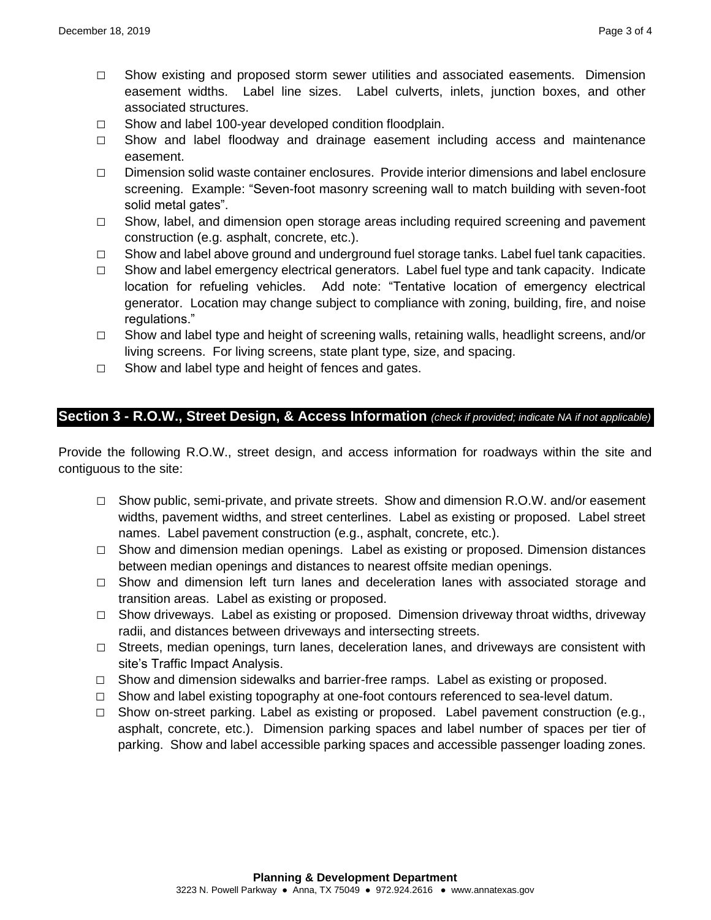- **□** Show existing and proposed storm sewer utilities and associated easements. Dimension easement widths. Label line sizes. Label culverts, inlets, junction boxes, and other associated structures.
- **□** Show and label 100-year developed condition floodplain.
- **□** Show and label floodway and drainage easement including access and maintenance easement.
- **□** Dimension solid waste container enclosures. Provide interior dimensions and label enclosure screening. Example: "Seven-foot masonry screening wall to match building with seven-foot solid metal gates".
- **□** Show, label, and dimension open storage areas including required screening and pavement construction (e.g. asphalt, concrete, etc.).
- **□** Show and label above ground and underground fuel storage tanks. Label fuel tank capacities.
- **□** Show and label emergency electrical generators. Label fuel type and tank capacity. Indicate location for refueling vehicles. Add note: "Tentative location of emergency electrical generator. Location may change subject to compliance with zoning, building, fire, and noise regulations."
- **□** Show and label type and height of screening walls, retaining walls, headlight screens, and/or living screens. For living screens, state plant type, size, and spacing.
- **□** Show and label type and height of fences and gates.

## **Section 3 - R.O.W., Street Design, & Access Information** *(check if provided; indicate NA if not applicable)*

Provide the following R.O.W., street design, and access information for roadways within the site and contiguous to the site:

- **□** Show public, semi-private, and private streets. Show and dimension R.O.W. and/or easement widths, pavement widths, and street centerlines. Label as existing or proposed. Label street names. Label pavement construction (e.g., asphalt, concrete, etc.).
- **□** Show and dimension median openings. Label as existing or proposed. Dimension distances between median openings and distances to nearest offsite median openings.
- **□** Show and dimension left turn lanes and deceleration lanes with associated storage and transition areas. Label as existing or proposed.
- **□** Show driveways. Label as existing or proposed. Dimension driveway throat widths, driveway radii, and distances between driveways and intersecting streets.
- **□** Streets, median openings, turn lanes, deceleration lanes, and driveways are consistent with site's Traffic Impact Analysis.
- **□** Show and dimension sidewalks and barrier-free ramps. Label as existing or proposed.
- **□** Show and label existing topography at one-foot contours referenced to sea-level datum.
- **□** Show on-street parking. Label as existing or proposed. Label pavement construction (e.g., asphalt, concrete, etc.). Dimension parking spaces and label number of spaces per tier of parking. Show and label accessible parking spaces and accessible passenger loading zones.